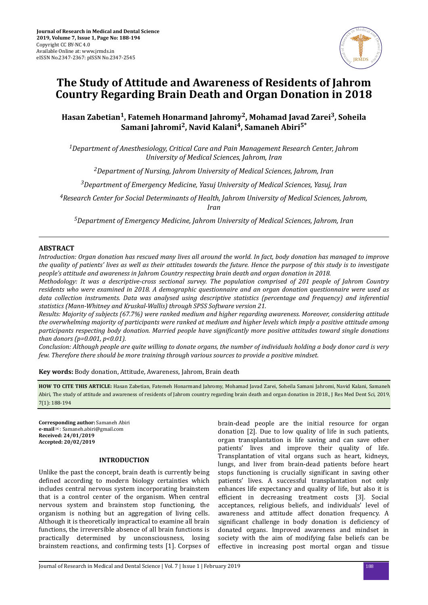

# **The Study of Attitude and Awareness of Residents of Jahrom Country Regarding Brain Death and Organ Donation in 2018**

## **Hasan Zabetian<sup>1</sup> , Fatemeh Honarmand Jahromy<sup>2</sup> , Mohamad Javad Zarei<sup>3</sup> , Soheila Samani Jahromi<sup>2</sup> , Navid Kalani<sup>4</sup> , Samaneh Abiri5\***

*<sup>1</sup>Department of Anesthesiology, Critical Care and Pain Management Research Center, Jahrom University of Medical Sciences, Jahrom, Iran*

*<sup>2</sup>Department of Nursing, Jahrom University of Medical Sciences, Jahrom, Iran*

*<sup>3</sup>Department of Emergency Medicine, Yasuj University of Medical Sciences, Yasuj, Iran*

*<sup>4</sup>Research Center for Social Determinants of Health, Jahrom University of Medical Sciences, Jahrom, Iran*

*<sup>5</sup>Department of Emergency Medicine, Jahrom University of Medical Sciences, Jahrom, Iran*

## **ABSTRACT**

*Introduction: Organ donation has rescued many lives all around the world. In fact, body donation has managed to improve the quality of patients' lives as well as their attitudes towards the future. Hence the purpose of this study is to investigate people's attitude and awareness in Jahrom Country respecting brain death and organ donation in 2018.*

*Methodology: It was a descriptive-cross sectional survey. The population comprised of 201 people of Jahrom Country residents who were examined in 2018. A demographic questionnaire and an organ donation questionnaire were used as data collection instruments. Data was analysed using descriptive statistics (percentage and frequency) and inferential statistics (Mann-Whitney and Kruskal-Wallis) through SPSS Software version 21.*

*Results: Majority of subjects (67.7%) were ranked medium and higher regarding awareness. Moreover, considering attitude the overwhelming majority of participants were ranked at medium and higher levels which imply a positive attitude among participants respecting body donation. Married people have significantly more positive attitudes toward single donations than donors (p=0.001, p<0.01).*

*Conclusion: Although people are quite willing to donate organs, the number of individuals holding a body donor card is very few. Therefore there should be more training through various sources to provide a positive mindset.*

**Key words:** Body donation, Attitude, Awareness, Jahrom, Brain death

**HOW TO CITE THIS ARTICLE:** Hasan Zabetian, Fatemeh Honarmand Jahromy, Mohamad Javad Zarei, Soheila Samani Jahromi, Navid Kalani, Samaneh Abiri, The study of attitude and awareness of residents of Jahrom country regarding brain death and organ donation in 2018., J Res Med Dent Sci, 2019, 7(1): 188-194

**Corresponding author:** Samaneh Abiri **e-mail**✉: Samaneh.abiri@gmail.com **Received: 24/01/2019 Accepted: 20/02/2019**

## **INTRODUCTION**

Unlike the past the concept, brain death is currently being defined according to modern biology certainties which includes central nervous system incorporating brainstem that is a control center of the organism. When central nervous system and brainstem stop functioning, the organism is nothing but an aggregation of living cells. Although it is theoretically impractical to examine all brain functions, the irreversible absence of all brain functions is practically determined by unconsciousness, losing brainstem reactions, and confirming tests [1]. Corpses of

brain-dead people are the initial resource for organ donation [2]. Due to low quality of life in such patients, organ transplantation is life saving and can save other patients' lives and improve their quality of life. Transplantation of vital organs such as heart, kidneys, lungs, and liver from brain-dead patients before heart stops functioning is crucially significant in saving other patients' lives. A successful transplantation not only enhances life expectancy and quality of life, but also it is efficient in decreasing treatment costs [3]. Social acceptances, religious beliefs, and individuals' level of awareness and attitude affect donation frequency. A significant challenge in body donation is deficiency of donated organs. Improved awareness and mindset in society with the aim of modifying false beliefs can be effective in increasing post mortal organ and tissue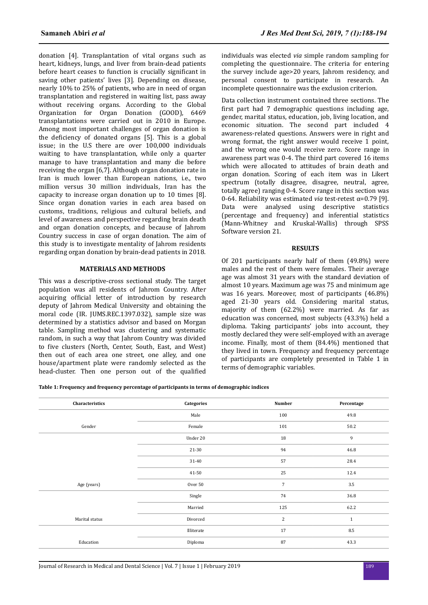donation [4]. Transplantation of vital organs such as heart, kidneys, lungs, and liver from brain-dead patients before heart ceases to function is crucially significant in saving other patients' lives [3]. Depending on disease, nearly 10% to 25% of patients, who are in need of organ transplantation and registered in waiting list, pass away without receiving organs. According to the Global Organization for Organ Donation (GOOD), 6469 transplantations were carried out in 2010 in Europe. Among most important challenges of organ donation is the deficiency of donated organs  $[5]$ . This is a global issue; in the U.S there are over 100,000 individuals waiting to have transplantation, while only a quarter manage to have transplantation and many die before receiving the organ [6,7]. Although organ donation rate in Iran is much lower than European nations, i.e., two million versus 30 million individuals, Iran has the capacity to increase organ donation up to 10 times [8]. Since organ donation varies in each area based on customs, traditions, religious and cultural beliefs, and level of awareness and perspective regarding brain death and organ donation concepts, and because of Jahrom Country success in case of organ donation. The aim of this study is to investigate mentality of Jahrom residents regarding organ donation by brain-dead patients in 2018.

#### **MATERIALS AND METHODS**

This was a descriptive-cross sectional study. The target population was all residents of Jahrom Country. After acquiring official letter of introduction by research deputy of Jahrom Medical University and obtaining the moral code (IR. JUMS.REC.1397.032), sample size was determined by a statistics advisor and based on Morgan table. Sampling method was clustering and systematic random, in such a way that Jahrom Country was divided to five clusters (North, Center, South, East, and West) then out of each area one street, one alley, and one house/apartment plate were randomly selected as the head-cluster. Then one person out of the qualified individuals was elected *via* simple random sampling for completing the questionnaire. The criteria for entering the survey include age>20 years, Jahrom residency, and personal consent to participate in research. An incomplete questionnaire was the exclusion criterion.

Data collection instrument contained three sections. The first part had 7 demographic questions including age, gender, marital status, education, job, living location, and economic situation. The second part included 4 awareness-related questions. Answers were in right and wrong format, the right answer would receive 1 point, and the wrong one would receive zero. Score range in awareness part was 0-4. The third part covered 16 items which were allocated to attitudes of brain death and organ donation. Scoring of each item was in Likert spectrum (totally disagree, disagree, neutral, agree, totally agree) ranging 0-4. Score range in this section was 0-64. Reliability was estimated *via* test-retest α=0.79 [9]. Data were analysed using descriptive statistics (percentage and frequency) and inferential statistics (Mann-Whitney and Kruskal-Wallis) through SPSS Software version 21.

#### **RESULTS**

Of 201 participants nearly half of them (49.8%) were males and the rest of them were females. Their average age was almost 31 years with the standard deviation of almost 10 years. Maximum age was 75 and minimum age was 16 years. Moreover, most of participants (46.8%) aged 21-30 years old. Considering marital status, majority of them (62.2%) were married. As far as education was concerned, most subjects (43.3%) held a diploma. Taking participants' jobs into account, they mostly declared they were self-employed with an average income. Finally, most of them (84.4%) mentioned that they lived in town. Frequency and frequency percentage of participants are completely presented in Table 1 in terms of demographic variables.

**Table 1: Frequency and frequency percentage of participants in terms of demographic indices**

| Characteristics | Categories | <b>Number</b>  | Percentage   |  |
|-----------------|------------|----------------|--------------|--|
|                 | Male       | 100            | 49.8         |  |
| Gender          | Female     | 101            | 50.2         |  |
|                 | Under 20   | 18             | 9            |  |
|                 | 21-30      | 94             | 46.8         |  |
|                 | 31-40      | 57             | 28.4         |  |
|                 | 41-50      | 25             | 12.4         |  |
| Age (years)     | Over 50    | $\overline{7}$ | $3.5\,$      |  |
|                 | Single     | 74             | 36.8         |  |
|                 | Married    | 125            | 62.2         |  |
| Marital status  | Divorced   | $\overline{2}$ | $\mathbf{1}$ |  |
|                 | Illiterate | 17             | $\ \, 8.5$   |  |
| Education       | Diploma    | 87             | 43.3         |  |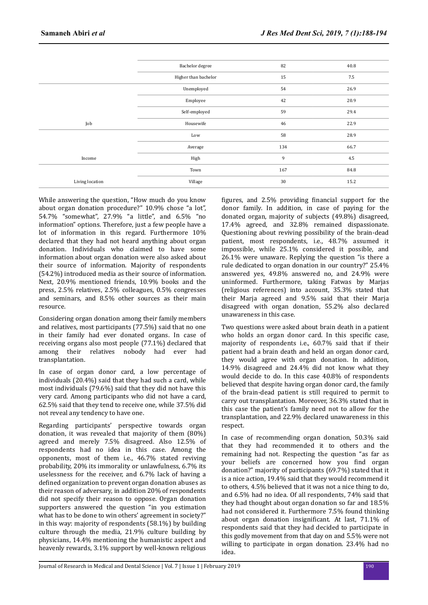|                 | Bachelor degree      | 82  | 40.8 |
|-----------------|----------------------|-----|------|
|                 | Higher than bachelor | 15  | 7.5  |
|                 | Unemployed           | 54  | 26.9 |
|                 | Employee             | 42  | 20.9 |
|                 | Self-employed        | 59  | 29.4 |
| Job             | Housewife            | 46  | 22.9 |
|                 | Low                  | 58  | 28.9 |
|                 | Average              | 134 | 66.7 |
| Income          | High                 | 9   | 4.5  |
|                 | Town                 | 167 | 84.8 |
| Living location | Village              | 30  | 15.2 |
|                 |                      |     |      |

While answering the question, "How much do you know about organ donation procedure?" 10.9% chose "a lot", 54.7% "somewhat", 27.9% "a little", and 6.5% "no information" options. Therefore, just a few people have a lot of information in this regard. Furthermore 10% declared that they had not heard anything about organ donation. Individuals who claimed to have some information about organ donation were also asked about their source of information. Majority of respondents (54.2%) introduced media as their source of information. Next, 20.9% mentioned friends, 10.9% books and the press, 2.5% relatives, 2.5% colleagues, 0.5% congresses and seminars, and 8.5% other sources as their main resource.

Considering organ donation among their family members and relatives, most participants (77.5%) said that no one in their family had ever donated organs. In case of receiving organs also most people (77.1%) declared that among their relatives nobody had ever had transplantation.

In case of organ donor card, a low percentage of individuals (20.4%) said that they had such a card, while most individuals (79.6%) said that they did not have this very card. Among participants who did not have a card, 62.5% said that they tend to receive one, while 37.5% did not reveal any tendency to have one.

Regarding participants' perspective towards organ donation, it was revealed that majority of them (80%) agreed and merely 7.5% disagreed. Also 12.5% of respondents had no idea in this case. Among the opponents, most of them i.e., 46.7% stated reviving probability, 20% its immorality or unlawfulness, 6.7% its uselessness for the receiver, and 6.7% lack of having a defined organization to prevent organ donation abuses as their reason of adversary, in addition 20% of respondents did not specify their reason to oppose. Organ donation supporters answered the question "in you estimation what has to be done to win others' agreement in society?" in this way: majority of respondents (58.1%) by building culture through the media, 21.9% culture building by physicians, 14.4% mentioning the humanistic aspect and heavenly rewards, 3.1% support by well-known religious

figures, and  $2.5%$  providing financial support for the donor family. In addition, in case of paying for the donated organ, majority of subjects (49.8%) disagreed, 17.4% agreed, and 32.8% remained dispassionate. Questioning about reviving possibility of the brain-dead patient, most respondents, i.e., 48.7% assumed it impossible, while 25.1% considered it possible, and 26.1% were unaware. Replying the question "is there a rule dedicated to organ donation in our country?" 25.4% answered yes, 49.8% answered no, and 24.9% were uninformed. Furthermore, taking Fatwas by Marjas (religious references) into account, 35.3% stated that their Marja agreed and 9.5% said that their Marja disagreed with organ donation, 55.2% also declared unawareness in this case.

Two questions were asked about brain death in a patient who holds an organ donor card. In this specific case, majority of respondents i.e., 60.7% said that if their patient had a brain death and held an organ donor card, they would agree with organ donation. In addition, 14.9% disagreed and 24.4% did not know what they would decide to do. In this case 40.8% of respondents believed that despite having organ donor card, the family of the brain-dead patient is still required to permit to carry out transplantation. Moreover, 36.3% stated that in this case the patient's family need not to allow for the transplantation, and 22.9% declared unawareness in this respect.

In case of recommending organ donation, 50.3% said that they had recommended it to others and the remaining had not. Respecting the question "as far as vour beliefs are concerned how you find organ donation?" majority of participants (69.7%) stated that it is a nice action, 19.4% said that they would recommend it to others, 4.5% believed that it was not a nice thing to do, and 6.5% had no idea. Of all respondents, 74% said that they had thought about organ donation so far and 18.5% had not considered it. Furthermore 7.5% found thinking about organ donation insignificant. At last, 71.1% of respondents said that they had decided to participate in this godly movement from that day on and 5.5% were not willing to participate in organ donation. 23.4% had no idea.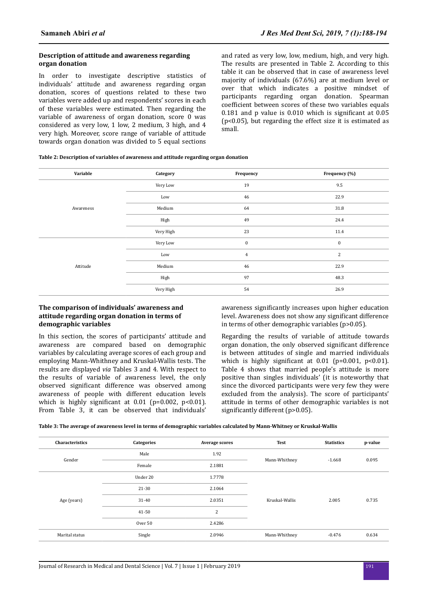#### **Description of attitude and awareness regarding organ donation**

In order to investigate descriptive statistics of individuals' attitude and awareness regarding organ donation, scores of questions related to these two variables were added up and respondents' scores in each of these variables were estimated. Then regarding the variable of awareness of organ donation, score 0 was considered as very low, 1 low, 2 medium, 3 high, and 4 very high. Moreover, score range of variable of attitude towards organ donation was divided to 5 equal sections and rated as very low, low, medium, high, and very high. The results are presented in Table 2. According to this table it can be observed that in case of awareness level majority of individuals (67.6%) are at medium level or over that which indicates a positive mindset of participants regarding organ donation. Spearman coefficient between scores of these two variables equals 0.181 and p value is  $0.010$  which is significant at  $0.05$ (p<0.05), but regarding the effect size it is estimated as small.

| Variable  | Category  | Frequency        | Frequency (%)    |
|-----------|-----------|------------------|------------------|
| Awareness | Very Low  | 19               | 9.5              |
|           | Low       | 46               | 22.9             |
|           | Medium    | 64               | 31.8             |
|           | High      | 49               | 24.4             |
|           | Very High | 23               | 11.4             |
| Attitude  | Very Low  | $\boldsymbol{0}$ | $\boldsymbol{0}$ |
|           | Low       | $\overline{4}$   | $\sqrt{2}$       |
|           | Medium    | 46               | 22.9             |
|           | High      | 97               | 48.3             |
|           | Very High | 54               | 26.9             |

#### **The comparison of individuals' awareness and attitude regarding organ donation in terms of demographic variables**

In this section, the scores of participants' attitude and awareness are compared based on demographic variables by calculating average scores of each group and employing Mann-Whithney and Kruskal-Wallis tests. The results are displayed *via* Tables 3 and 4. With respect to the results of variable of awareness level, the only observed significant difference was observed among awareness of people with different education levels which is highly significant at  $0.01$  (p=0.002, p<0.01). From Table 3, it can be observed that individuals' awareness significantly increases upon higher education level. Awareness does not show any significant difference in terms of other demographic variables (p>0.05).

Regarding the results of variable of attitude towards organ donation, the only observed significant difference is between attitudes of single and married individuals which is highly significant at  $0.01$  (p=0.001, p<0.01). Table 4 shows that married people's attitude is more positive than singles individuals' (it is noteworthy that since the divorced participants were very few they were excluded from the analysis). The score of participants' attitude in terms of other demographic variables is not significantly different (p>0.05).

**Table 3: The average of awareness level in terms of demographic variables calculated by Mann-Whitney or Kruskal-Wallis**

| Characteristics | Categories | <b>Average scores</b> | <b>Test</b>    | <b>Statistics</b> | p-value |
|-----------------|------------|-----------------------|----------------|-------------------|---------|
| Gender          | Male       | 1.92                  | Mann-Whithney  | $-1.668$          | 0.095   |
|                 | Female     | 2.1881                |                |                   |         |
| Age (years)     | Under 20   | 1.7778                |                |                   |         |
|                 | 21-30      | 2.1064                | Kruskal-Wallis |                   | 0.735   |
|                 | $31 - 40$  | 2.0351                |                | 2.005             |         |
|                 | 41-50      | $\overline{2}$        |                |                   |         |
|                 | Over 50    | 2.4286                |                |                   |         |
| Marital status  | Single     | 2.0946                | Mann-Whithney  | $-0.476$          | 0.634   |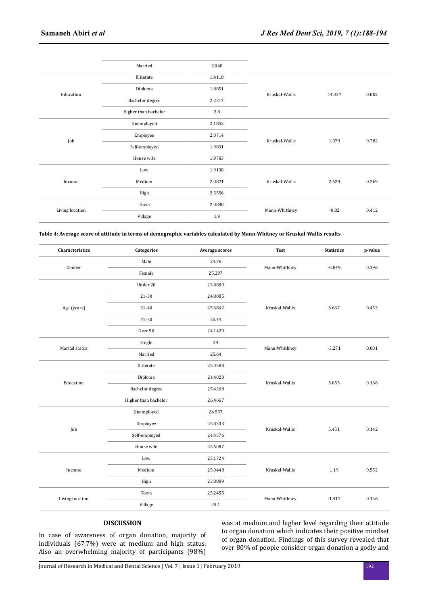|                 | Married              | 2.048  |                          |        |       |
|-----------------|----------------------|--------|--------------------------|--------|-------|
| Education       | Illiterate           | 1.4118 | Kruskal-Wallis           |        | 0.002 |
|                 | Diploma              | 1.8851 |                          | 14.437 |       |
|                 | Bachelor degree      | 2.2317 |                          |        |       |
|                 | Higher than bachelor | 2.8    |                          |        |       |
|                 | Unemployed           | 2.1852 |                          |        |       |
| Job             | Employee             | 2.0714 | Kruskal-Wallis           | 1.079  | 0.782 |
|                 | Self-employed        | 1.9831 |                          |        |       |
|                 | House wife           | 1.9783 |                          |        |       |
|                 | Low                  | 1.9138 |                          |        |       |
| Income          | Medium               | 2.0821 | Kruskal-Wallis           | 2.629  | 0.269 |
|                 | High                 | 2.5556 |                          |        |       |
| Living location | Town                 | 2.0898 | Mann-Whithney<br>$-0.82$ |        | 0.412 |
|                 | Village              | 1.9    |                          |        |       |

**Table 4: Average score of attitude in terms of demographic variables calculated by Mann-Whitney or Kruskal-Wallis results**

| Characteristics | <b>Categories</b>    | <b>Average scores</b> | <b>Test</b>    | <b>Statistics</b> | p-value |
|-----------------|----------------------|-----------------------|----------------|-------------------|---------|
| Gender          | Male                 | 24.76                 | Mann-Whithney  | $-0.849$          | 0.396   |
|                 | Female               | 25.297                |                |                   |         |
|                 | Under 20             | 23.8889               |                |                   | 0.453   |
|                 | 21-30                | 24.8085               |                |                   |         |
| Age (years)     | 31-40                | 25.6842               | Kruskal-Wallis | 3.667             |         |
|                 | 41-50                | 25.44                 |                |                   |         |
|                 | Over 50              | 24.1429               |                |                   |         |
| Marital status  | Single               | 24                    |                |                   | 0.001   |
|                 | Married              | 25.64                 | Mann-Whithney  | $-3.271$          |         |
|                 | Illiterate           | 25.0588               | Kruskal-Wallis | 5.055             | 0.168   |
| Education       | Diploma              | 24.4023               |                |                   |         |
|                 | Bachelor degree      | 25.4268               |                |                   |         |
|                 | Higher than bachelor | 26.4667               |                |                   |         |
|                 | Unemployed           | 24.537                | Kruskal-Wallis |                   | 0.142   |
| Job             | Employee             | 25.8333               |                | 5.451             |         |
|                 | Self-employed        | 24.4576               |                |                   |         |
|                 | House wife           | 25.6087               |                |                   |         |
|                 | Low                  | 25.1724               | Kruskal-Wallis | 1.19              | 0.552   |
| Income          | Medium               | 25.0448               |                |                   |         |
|                 | High                 | 23.8889               |                |                   |         |
|                 | Town                 | 25.2455               | Mann-Whithney  | $-1.417$          | 0.156   |
| Living location | Village              | 24.1                  |                |                   |         |

## **DISCUSSION**

In case of awareness of organ donation, majority of individuals (67.7%) were at medium and high status. Also an overwhelming majority of participants (98%)

was at medium and higher level regarding their attitude to organ donation which indicates their positive mindset of organ donation. Findings of this survey revealed that over 80% of people consider organ donation a godly and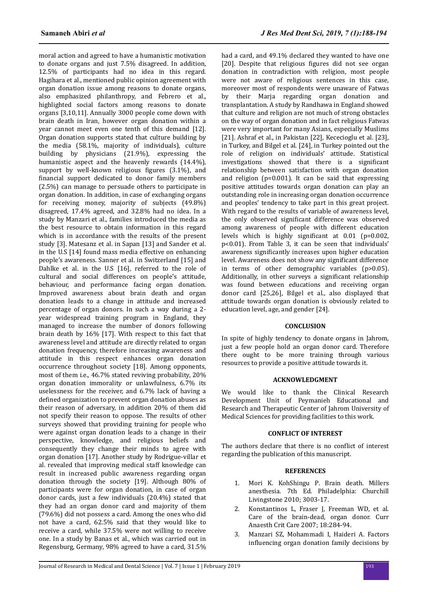moral action and agreed to have a humanistic motivation to donate organs and just 7.5% disagreed. In addition, 12.5% of participants had no idea in this regard. Hagihara et al., mentioned public opinion agreement with organ donation issue among reasons to donate organs, also emphasized philanthropy, and Febrero et al., highlighted social factors among reasons to donate organs [3,10,11]. Annually 3000 people come down with brain death in Iran, however organ donation within a year cannot meet even one tenth of this demand [12]. Organ donation supports stated that culture building by the media (58.1%, majority of individuals), culture building by physicians (21.9%), expressing the humanistic aspect and the heavenly rewards (14.4%), support by well-known religious figures  $(3.1\%)$ , and financial support dedicated to donor family members (2.5%) can manage to persuade others to participate in organ donation. In addition, in case of exchanging organs for receiving money, majority of subjects (49.8%) disagreed, 17.4% agreed, and 32.8% had no idea. In a study by Manzari et al., families introduced the media as the best resource to obtain information in this regard which is in accordance with the results of the present study [3]. Matesanz et al. in Sapan [13] and Sander et al. in the U.S [14] found mass media effective on enhancing people's awareness. Sanner et al. in Switzerland [15] and Dahlke et al. in the U.S [16], referred to the role of cultural and social differences on people's attitude, behaviour, and performance facing organ donation. Improved awareness about brain death and organ donation leads to a change in attitude and increased percentage of organ donors. In such a way during a 2 year widespread training program in England, they managed to increase the number of donors following brain death by 16% [17]. With respect to this fact that awareness level and attitude are directly related to organ donation frequency, therefore increasing awareness and attitude in this respect enhances organ donation occurrence throughout society [18]. Among opponents, most of them i.e., 46.7% stated reviving probability, 20% organ donation immorality or unlawfulness, 6.7% its uselessness for the receiver, and 6.7% lack of having a defined organization to prevent organ donation abuses as their reason of adversary, in addition 20% of them did not specify their reason to oppose. The results of other surveys showed that providing training for people who were against organ donation leads to a change in their perspective, knowledge, and religious beliefs and consequently they change their minds to agree with organ donation [17]. Another study by Rodrigue-villar et al. revealed that improving medical staff knowledge can result in increased public awareness regarding organ donation through the society [19]. Although 80% of participants were for organ donation, in case of organ donor cards, just a few individuals (20.4%) stated that they had an organ donor card and majority of them (79.6%) did not possess a card. Among the ones who did not have a card, 62.5% said that they would like to receive a card, while 37.5% were not willing to receive one. In a study by Banas et al., which was carried out in Regensburg, Germany, 98% agreed to have a card, 31.5%

had a card, and 49.1% declared they wanted to have one [20]. Despite that religious figures did not see organ donation in contradiction with religion, most people were not aware of religious sentences in this case, moreover most of respondents were unaware of Fatwas by their Marja regarding organ donation and transplantation. A study by Randhawa in England showed that culture and religion are not much of strong obstacles on the way of organ donation and in fact religious Fatwas were very important for many Asians, especially Muslims [21]. Ashraf et al., in Pakistan [22], Kececioglu et al. [23], in Turkey, and Bilgel et al. [24], in Turkey pointed out the role of religion on individuals' attitude. Statistical  $investigations$  showed that there is a significant relationship between satisfaction with organ donation and religion (p=0.001). It can be said that expressing positive attitudes towards organ donation can play an outstanding role in increasing organ donation occurrence and peoples' tendency to take part in this great project. With regard to the results of variable of awareness level, the only observed significant difference was observed among awareness of people with different education levels which is highly significant at  $0.01$  (p=0.002, p<0.01). From Table 3, it can be seen that individuals' awareness significantly increases upon higher education level. Awareness does not show any significant difference in terms of other demographic variables (p>0.05). Additionally, in other surveys a significant relationship was found between educations and receiving organ donor card [25,26], Bilgel et al., also displayed that attitude towards organ donation is obviously related to education level, age, and gender [24].

#### **CONCLUSION**

In spite of highly tendency to donate organs in Jahrom, just a few people hold an organ donor card. Therefore there ought to be more training through various resources to provide a positive attitude towards it.

#### **ACKNOWLEDGMENT**

We would like to thank the Clinical Research Development Unit of Peymanieh Educational and Research and Therapeutic Center of Jahrom University of Medical Sciences for providing facilities to this work.

#### **CONFLICT OF INTEREST**

The authors declare that there is no conflict of interest regarding the publication of this manuscript.

#### **REFERENCES**

- 1. Mori K. KohShingu P. Brain death. Millers anesthesia. 7th Ed. Philadelphia: Churchill Livingstone 2010; 3003-17.
- 2. Konstantinos L, Fraser J, Freeman WD, et al. Care of the brain-dead, organ donor. Curr Anaesth Crit Care 2007; 18:284-94.
- 3. Manzari SZ, Mohammadi I, Haideri A. Factors influencing organ donation family decisions by